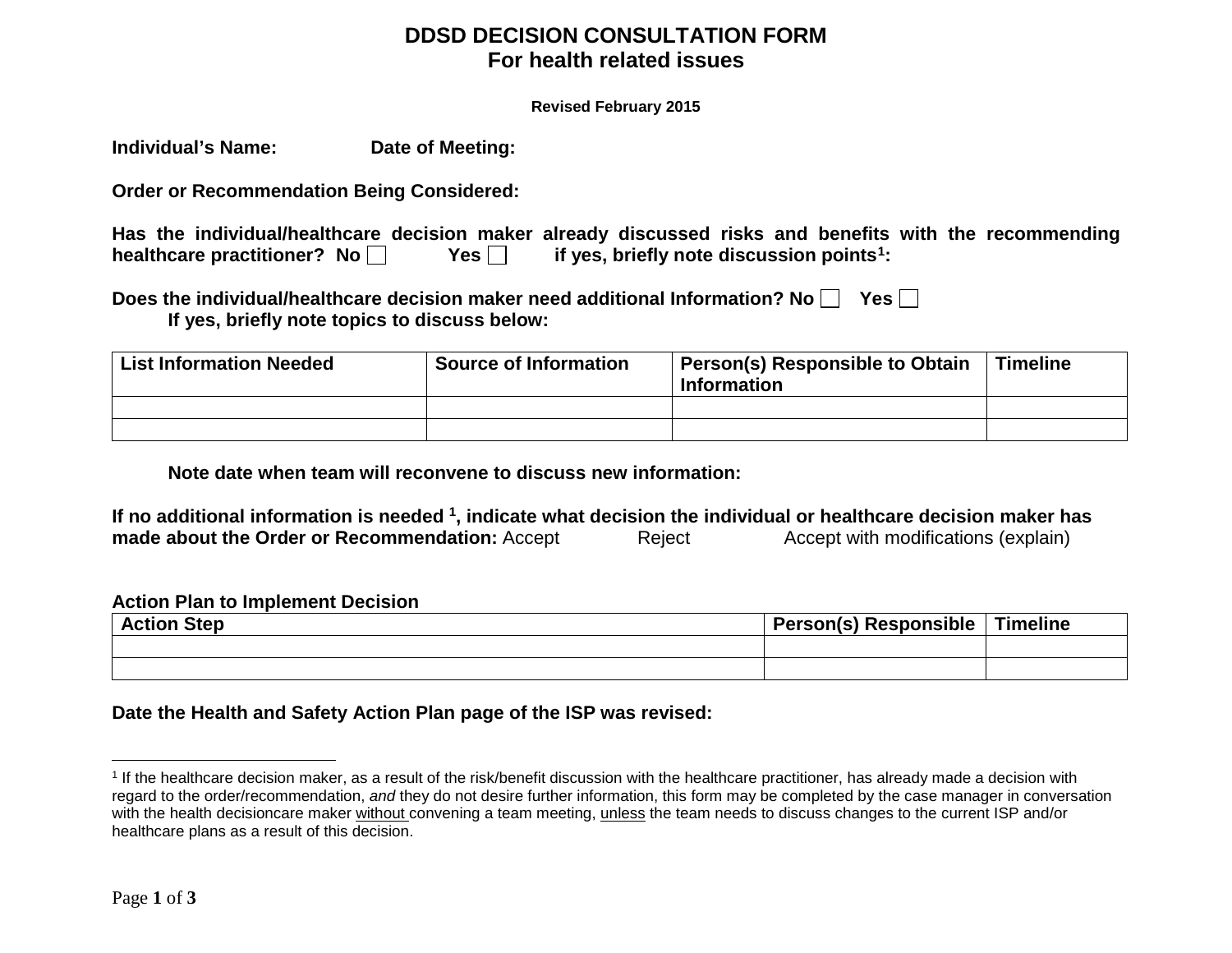### **DDSD DECISION CONSULTATION FORM For health related issues**

<span id="page-0-0"></span>**Revised February 2015** 

**Individual's Name: Date of Meeting:**

**Order or Recommendation Being Considered:**

| Has the individual/healthcare decision maker already discussed risks and benefits with the recommending |            |                                                       |  |  |  |
|---------------------------------------------------------------------------------------------------------|------------|-------------------------------------------------------|--|--|--|
| healthcare practitioner? No $\Box$                                                                      | Yes $\Box$ | if yes, briefly note discussion points <sup>1</sup> : |  |  |  |

| Does the individual/healthcare decision maker need additional Information? No [ | Yes $\Box$ |
|---------------------------------------------------------------------------------|------------|
| If yes, briefly note topics to discuss below:                                   |            |

| <b>List Information Needed</b> | <b>Source of Information</b> | Person(s) Responsible to Obtain<br><b>Information</b> | <b>Timeline</b> |
|--------------------------------|------------------------------|-------------------------------------------------------|-----------------|
|                                |                              |                                                       |                 |
|                                |                              |                                                       |                 |

**Note date when team will reconvene to discuss new information:** 

**If no additional information is needed 1, indicate what decision the individual or healthcare decision maker has made about the Order or Recommendation:** Accept Reject

### **Action Plan to Implement Decision**

| <b>Action Step</b> | <b>Person(s) Responsible</b> | Timeline |
|--------------------|------------------------------|----------|
|                    |                              |          |
|                    |                              |          |

**Date the Health and Safety Action Plan page of the ISP was revised:**

 $\overline{a}$ 

<sup>1</sup> If the healthcare decision maker, as a result of the risk/benefit discussion with the healthcare practitioner, has already made a decision with regard to the order/recommendation, *and* they do not desire further information, this form may be completed by the case manager in conversation with the health decisioncare maker without convening a team meeting, unless the team needs to discuss changes to the current ISP and/or healthcare plans as a result of this decision.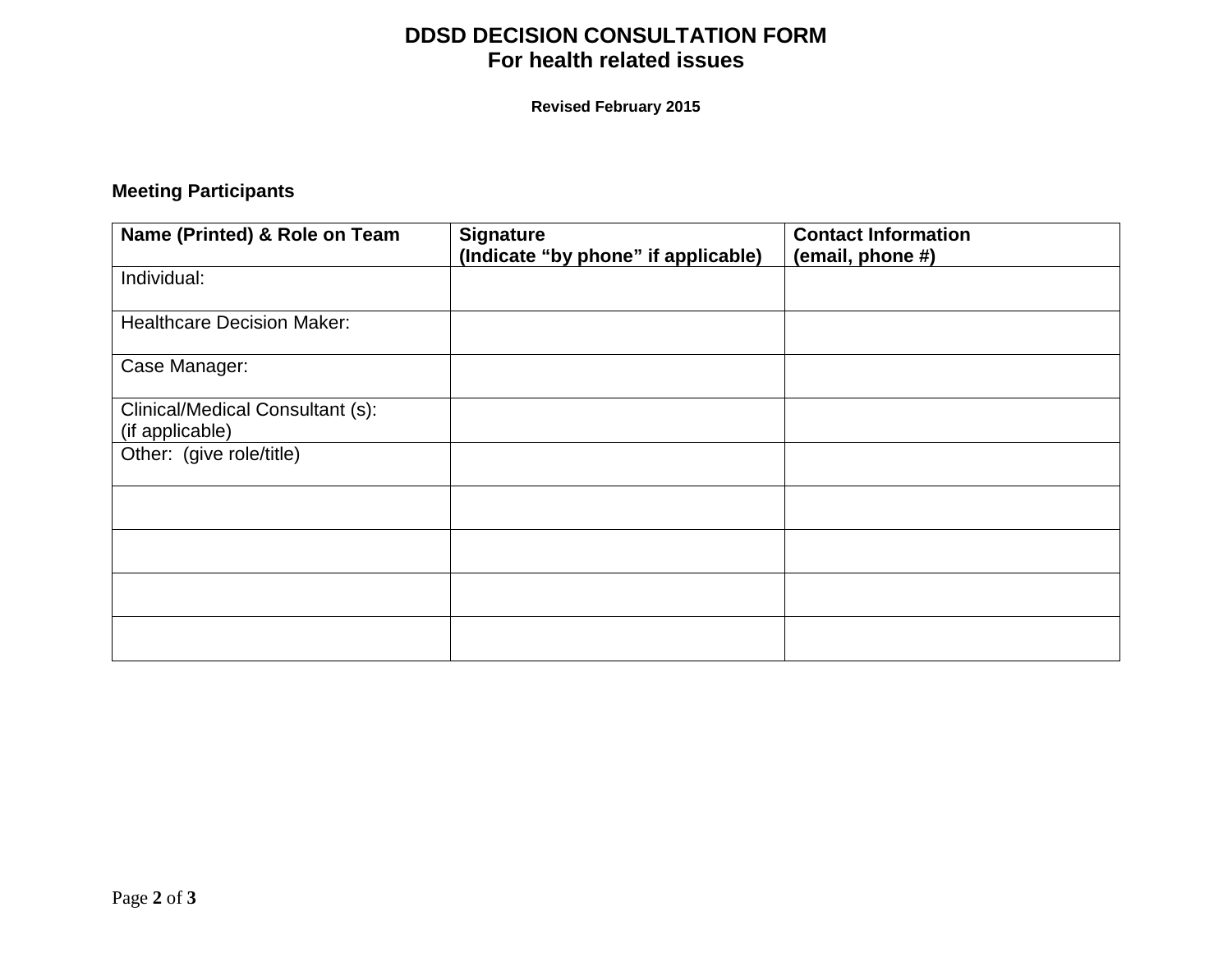# **DDSD DECISION CONSULTATION FORM For health related issues**

**Revised February 2015** 

# **Meeting Participants**

| Name (Printed) & Role on Team                       | <b>Signature</b><br>(Indicate "by phone" if applicable) | <b>Contact Information</b><br>(email, phone #) |
|-----------------------------------------------------|---------------------------------------------------------|------------------------------------------------|
| Individual:                                         |                                                         |                                                |
| <b>Healthcare Decision Maker:</b>                   |                                                         |                                                |
| Case Manager:                                       |                                                         |                                                |
| Clinical/Medical Consultant (s):<br>(if applicable) |                                                         |                                                |
| Other: (give role/title)                            |                                                         |                                                |
|                                                     |                                                         |                                                |
|                                                     |                                                         |                                                |
|                                                     |                                                         |                                                |
|                                                     |                                                         |                                                |